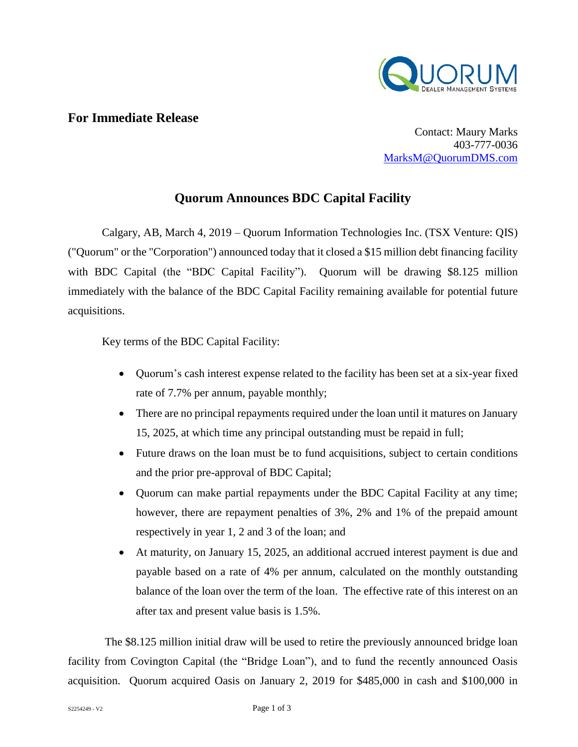

## **For Immediate Release**

Contact: Maury Marks 403-777-0036 [MarksM@QuorumDMS.com](mailto:MarksM@QuorumDMS.com)

# **Quorum Announces BDC Capital Facility**

Calgary, AB, March 4, 2019 – Quorum Information Technologies Inc. (TSX Venture: QIS) ("Quorum" or the "Corporation") announced today that it closed a \$15 million debt financing facility with BDC Capital (the "BDC Capital Facility"). Quorum will be drawing \$8.125 million immediately with the balance of the BDC Capital Facility remaining available for potential future acquisitions.

Key terms of the BDC Capital Facility:

- Quorum's cash interest expense related to the facility has been set at a six-year fixed rate of 7.7% per annum, payable monthly;
- There are no principal repayments required under the loan until it matures on January 15, 2025, at which time any principal outstanding must be repaid in full;
- Future draws on the loan must be to fund acquisitions, subject to certain conditions and the prior pre-approval of BDC Capital;
- Quorum can make partial repayments under the BDC Capital Facility at any time; however, there are repayment penalties of 3%, 2% and 1% of the prepaid amount respectively in year 1, 2 and 3 of the loan; and
- At maturity, on January 15, 2025, an additional accrued interest payment is due and payable based on a rate of 4% per annum, calculated on the monthly outstanding balance of the loan over the term of the loan. The effective rate of this interest on an after tax and present value basis is 1.5%.

The \$8.125 million initial draw will be used to retire the previously announced bridge loan facility from Covington Capital (the "Bridge Loan"), and to fund the recently announced Oasis acquisition. Quorum acquired Oasis on January 2, 2019 for \$485,000 in cash and \$100,000 in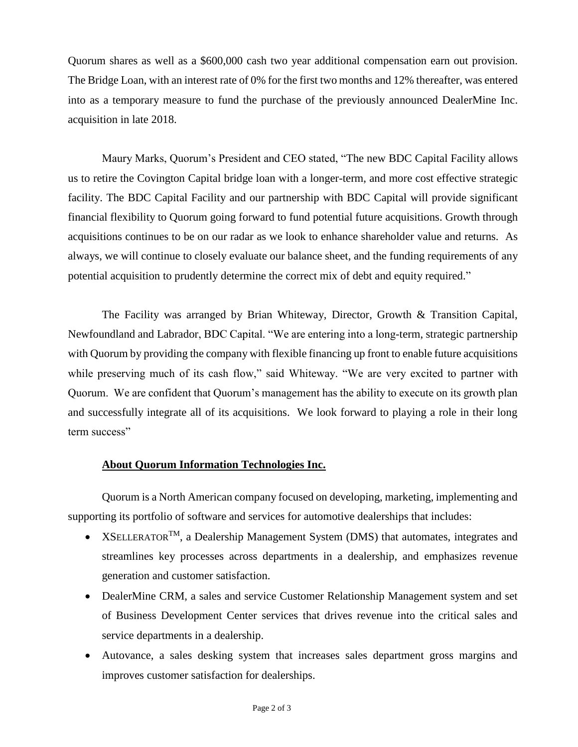Quorum shares as well as a \$600,000 cash two year additional compensation earn out provision. The Bridge Loan, with an interest rate of 0% for the first two months and 12% thereafter, was entered into as a temporary measure to fund the purchase of the previously announced DealerMine Inc. acquisition in late 2018.

Maury Marks, Quorum's President and CEO stated, "The new BDC Capital Facility allows us to retire the Covington Capital bridge loan with a longer-term, and more cost effective strategic facility. The BDC Capital Facility and our partnership with BDC Capital will provide significant financial flexibility to Quorum going forward to fund potential future acquisitions. Growth through acquisitions continues to be on our radar as we look to enhance shareholder value and returns. As always, we will continue to closely evaluate our balance sheet, and the funding requirements of any potential acquisition to prudently determine the correct mix of debt and equity required."

The Facility was arranged by Brian Whiteway, Director, Growth & Transition Capital, Newfoundland and Labrador, BDC Capital. "We are entering into a long-term, strategic partnership with Quorum by providing the company with flexible financing up front to enable future acquisitions while preserving much of its cash flow," said Whiteway. "We are very excited to partner with Quorum. We are confident that Quorum's management has the ability to execute on its growth plan and successfully integrate all of its acquisitions. We look forward to playing a role in their long term success"

## **About Quorum Information Technologies Inc.**

Quorum is a North American company focused on developing, marketing, implementing and supporting its portfolio of software and services for automotive dealerships that includes:

- XSELLERATOR<sup>TM</sup>, a Dealership Management System (DMS) that automates, integrates and streamlines key processes across departments in a dealership, and emphasizes revenue generation and customer satisfaction.
- DealerMine CRM, a sales and service Customer Relationship Management system and set of Business Development Center services that drives revenue into the critical sales and service departments in a dealership.
- Autovance, a sales desking system that increases sales department gross margins and improves customer satisfaction for dealerships.